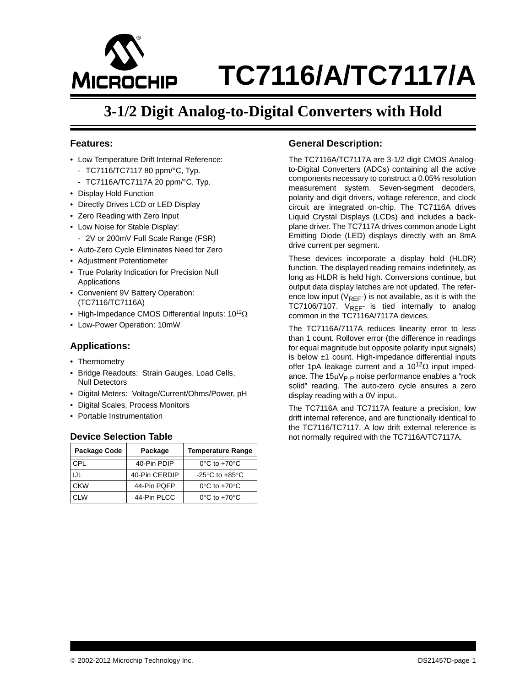

# **3-1/2 Digit Analog-to-Digital Converters with Hold**

#### **Features:**

- Low Temperature Drift Internal Reference:
	- TC7116/TC7117 80 ppm/°C, Typ.
	- TC7116A/TC7117A 20 ppm/°C, Typ.
- Display Hold Function
- Directly Drives LCD or LED Display
- Zero Reading with Zero Input
- Low Noise for Stable Display:
- 2V or 200mV Full Scale Range (FSR)
- Auto-Zero Cycle Eliminates Need for Zero
- Adjustment Potentiometer
- True Polarity Indication for Precision Null Applications
- Convenient 9V Battery Operation: (TC7116/TC7116A)
- High-Impedance CMOS Differential Inputs:  $10^{12}$  $\Omega$
- Low-Power Operation: 10mW

#### **Applications:**

- Thermometry
- Bridge Readouts: Strain Gauges, Load Cells, Null Detectors
- Digital Meters: Voltage/Current/Ohms/Power, pH
- Digital Scales, Process Monitors
- Portable Instrumentation

| Package Code | Package       | <b>Temperature Range</b>                             |
|--------------|---------------|------------------------------------------------------|
| <b>CPL</b>   | 40-Pin PDIP   | $0^{\circ}$ C to +70 $^{\circ}$ C                    |
| IJL          | 40-Pin CERDIP | -25 $\mathrm{^{\circ}C}$ to +85 $\mathrm{^{\circ}C}$ |
| <b>CKW</b>   | 44-Pin PQFP   | $0^{\circ}$ C to +70 $^{\circ}$ C                    |
| CLW          | 44-Pin PLCC   | $0^{\circ}$ C to +70 $^{\circ}$ C                    |

#### **Device Selection Table**

#### **General Description:**

The TC7116A/TC7117A are 3-1/2 digit CMOS Analogto-Digital Converters (ADCs) containing all the active components necessary to construct a 0.05% resolution measurement system. Seven-segment decoders, polarity and digit drivers, voltage reference, and clock circuit are integrated on-chip. The TC7116A drives Liquid Crystal Displays (LCDs) and includes a backplane driver. The TC7117A drives common anode Light Emitting Diode (LED) displays directly with an 8mA drive current per segment.

These devices incorporate a display hold (HLDR) function. The displayed reading remains indefinitely, as long as HLDR is held high. Conversions continue, but output data display latches are not updated. The reference low input ( $V_{RFF}$ -) is not available, as it is with the TC7106/7107. V<sub>REF</sub>- is tied internally to analog common in the TC7116A/7117A devices.

The TC7116A/7117A reduces linearity error to less than 1 count. Rollover error (the difference in readings for equal magnitude but opposite polarity input signals) is below ±1 count. High-impedance differential inputs offer 1pA leakage current and a  $10^{12}\Omega$  input impedance. The  $15\mu V_{P-P}$  noise performance enables a "rock solid" reading. The auto-zero cycle ensures a zero display reading with a 0V input.

The TC7116A and TC7117A feature a precision, low drift internal reference, and are functionally identical to the TC7116/TC7117. A low drift external reference is not normally required with the TC7116A/TC7117A.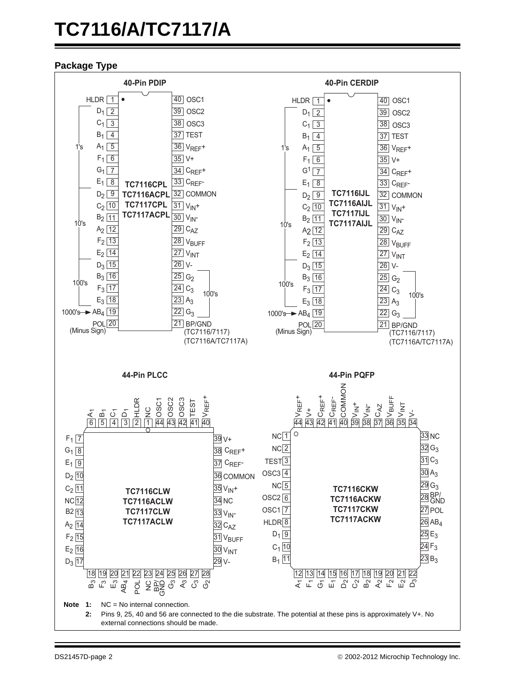# **TC7116/A/TC7117/A**

#### **Package Type**

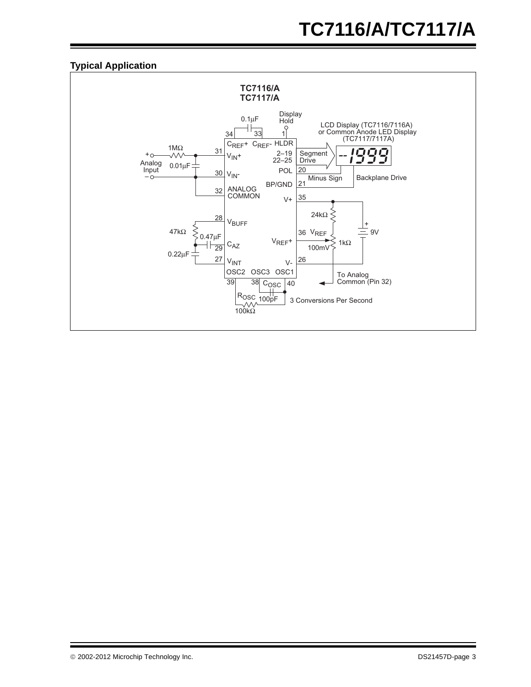# **TC7116/A/TC7117/A**

#### **Typical Application**

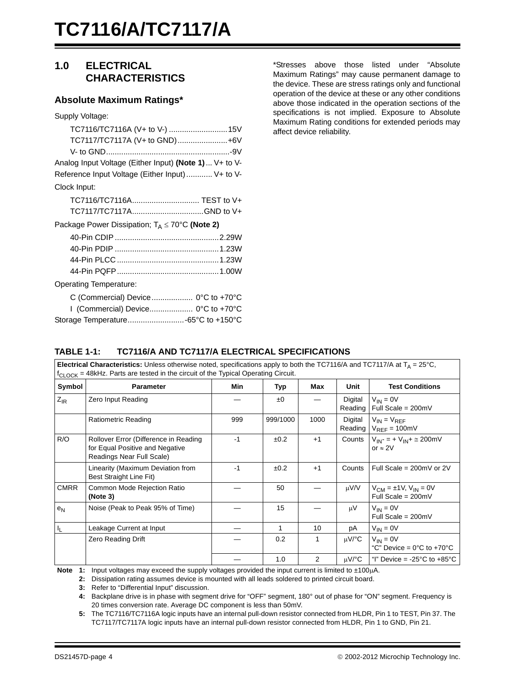# **1.0 ELECTRICAL CHARACTERISTICS**

# **Absolute Maximum Ratings\***

Supply Voltage:

| TC7117/TC7117A (V+ to GND)+6V                               |  |
|-------------------------------------------------------------|--|
|                                                             |  |
| Analog Input Voltage (Either Input) (Note 1) V+ to V-       |  |
| Reference Input Voltage (Either Input)  V+ to V-            |  |
| Clock Input:                                                |  |
| TC7116/TC7116A TEST to V+                                   |  |
| TC7117/TC7117AGND to V+                                     |  |
| Package Power Dissipation; $T_A \leq 70^{\circ}$ C (Note 2) |  |
|                                                             |  |
|                                                             |  |
|                                                             |  |
|                                                             |  |
| Operating Temperature:                                      |  |
|                                                             |  |

C (Commercial) Device................... 0°C to +70°C I (Commercial) Device.................... 0°C to +70°C Storage Temperature..........................-65°C to +150°C \*Stresses above those listed under "Absolute Maximum Ratings" may cause permanent damage to the device. These are stress ratings only and functional operation of the device at these or any other conditions above those indicated in the operation sections of the specifications is not implied. Exposure to Absolute Maximum Rating conditions for extended periods may affect device reliability.

# **TABLE 1-1: TC7116/A AND TC7117/A ELECTRICAL SPECIFICATIONS**

| <b>Electrical Characteristics:</b> Unless otherwise noted, specifications apply to both the TC7116/A and TC7117/A at $T_A = 25^{\circ}C$ ,<br>f <sub>CLOCK</sub> = 48kHz. Parts are tested in the circuit of the Typical Operating Circuit. |                                                                                                       |      |          |                |                    |                                                                 |
|---------------------------------------------------------------------------------------------------------------------------------------------------------------------------------------------------------------------------------------------|-------------------------------------------------------------------------------------------------------|------|----------|----------------|--------------------|-----------------------------------------------------------------|
| Symbol                                                                                                                                                                                                                                      | <b>Parameter</b>                                                                                      | Min  | Typ      | Max            | Unit               | <b>Test Conditions</b>                                          |
| $Z_{IR}$                                                                                                                                                                                                                                    | Zero Input Reading                                                                                    |      | ±0       |                | Digital<br>Reading | $V_{IN} = 0V$<br>Full Scale = $200mV$                           |
|                                                                                                                                                                                                                                             | Ratiometric Reading                                                                                   | 999  | 999/1000 | 1000           | Digital<br>Reading | $V_{IN} = V_{RFF}$<br>$V_{REF} = 100mV$                         |
| R/O                                                                                                                                                                                                                                         | Rollover Error (Difference in Reading<br>for Equal Positive and Negative<br>Readings Near Full Scale) | $-1$ | ±0.2     | $+1$           | Counts             | $V_{IN} = + V_{IN} + \approx 200$ mV<br>or $\approx$ 2V         |
|                                                                                                                                                                                                                                             | Linearity (Maximum Deviation from<br>Best Straight Line Fit)                                          | $-1$ | ±0.2     | $+1$           | Counts             | Full Scale = $200mV$ or 2V                                      |
| <b>CMRR</b>                                                                                                                                                                                                                                 | Common Mode Rejection Ratio<br>(Note 3)                                                               |      | 50       |                | μV/V               | $V_{CM}$ = ±1V, $V_{IN}$ = 0V<br>Full Scale = $200mV$           |
| $e_N$                                                                                                                                                                                                                                       | Noise (Peak to Peak 95% of Time)                                                                      |      | 15       |                | μV                 | $V_{IN} = 0V$<br>Full Scale = $200mV$                           |
| I <sub>L</sub>                                                                                                                                                                                                                              | Leakage Current at Input                                                                              |      | 1        | 10             | рA                 | $V_{IN} = 0V$                                                   |
|                                                                                                                                                                                                                                             | <b>Zero Reading Drift</b>                                                                             |      | 0.2      | 1              | $\mu$ V/°C         | $V_{IN} = 0V$<br>"C" Device = $0^{\circ}$ C to +70 $^{\circ}$ C |
|                                                                                                                                                                                                                                             |                                                                                                       |      | 1.0      | $\overline{2}$ | uV/°C              | "I" Device = $-25^{\circ}$ C to $+85^{\circ}$ C                 |

Note 1: Input voltages may exceed the supply voltages provided the input current is limited to ±100µA.

**2:** Dissipation rating assumes device is mounted with all leads soldered to printed circuit board.

**3:** Refer to "Differential Input" discussion.

**4:** Backplane drive is in phase with segment drive for "OFF" segment, 180° out of phase for "ON" segment. Frequency is 20 times conversion rate. Average DC component is less than 50mV.

**5:** The TC7116/TC7116A logic inputs have an internal pull-down resistor connected from HLDR, Pin 1 to TEST, Pin 37. The TC7117/TC7117A logic inputs have an internal pull-down resistor connected from HLDR, Pin 1 to GND, Pin 21.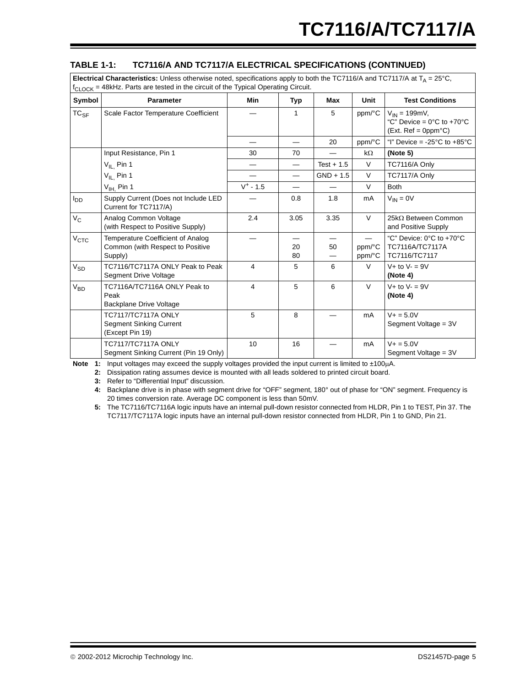#### **TABLE 1-1: TC7116/A AND TC7117/A ELECTRICAL SPECIFICATIONS (CONTINUED)**

|                       | Electrical Characteristics: Unless otherwise noted, specifications apply to both the TC7116/A and TC7117/A at $T_A = 25^{\circ}C$ ,<br>f <sub>CLOCK</sub> = 48kHz. Parts are tested in the circuit of the Typical Operating Circuit. |                |                          |             |                  |                                                                                                     |
|-----------------------|--------------------------------------------------------------------------------------------------------------------------------------------------------------------------------------------------------------------------------------|----------------|--------------------------|-------------|------------------|-----------------------------------------------------------------------------------------------------|
| Symbol                | <b>Parameter</b>                                                                                                                                                                                                                     | <b>Min</b>     | Typ                      | Max         | Unit             | <b>Test Conditions</b>                                                                              |
| $TC_{SF}$             | Scale Factor Temperature Coefficient                                                                                                                                                                                                 |                | 1                        | 5           | ppm/°C           | $V_{IN} = 199mV,$<br>"C" Device = $0^{\circ}$ C to +70 $^{\circ}$ C<br>$(Ext. Ref = Oppm^{\circ}C)$ |
|                       |                                                                                                                                                                                                                                      |                |                          | 20          | ppm/°C           | "I" Device = $-25^{\circ}$ C to $+85^{\circ}$ C                                                     |
|                       | Input Resistance, Pin 1                                                                                                                                                                                                              | 30             | 70                       |             | $k\Omega$        | (Note 5)                                                                                            |
|                       | $V_{IL}$ Pin 1                                                                                                                                                                                                                       |                | $\overline{\phantom{0}}$ | Test $+1.5$ | V                | TC7116/A Only                                                                                       |
|                       | $V_{IL}$ Pin 1                                                                                                                                                                                                                       |                | $\overline{\phantom{0}}$ | $GND + 1.5$ | $\vee$           | TC7117/A Only                                                                                       |
|                       | $V_{\text{IH}}$ Pin 1                                                                                                                                                                                                                | $V^+ - 1.5$    |                          |             | $\vee$           | <b>Both</b>                                                                                         |
| l <sub>DD</sub>       | Supply Current (Does not Include LED<br>Current for TC7117/A)                                                                                                                                                                        |                | 0.8                      | 1.8         | mA               | $V_{IN} = 0V$                                                                                       |
| $V_C$                 | Analog Common Voltage<br>(with Respect to Positive Supply)                                                                                                                                                                           | 2.4            | 3.05                     | 3.35        | $\vee$           | 25kΩ Between Common<br>and Positive Supply                                                          |
| V <sub>CTC</sub>      | Temperature Coefficient of Analog<br>Common (with Respect to Positive<br>Supply)                                                                                                                                                     |                | 20<br>80                 | 50          | ppm/°C<br>ppm/°C | "C" Device: 0°C to +70°C<br>TC7116A/TC7117A<br>TC7116/TC7117                                        |
| <b>V<sub>SD</sub></b> | TC7116/TC7117A ONLY Peak to Peak<br><b>Segment Drive Voltage</b>                                                                                                                                                                     | $\overline{4}$ | 5                        | 6           | $\vee$           | $V +$ to $V = 9V$<br>(Note 4)                                                                       |
| V <sub>BD</sub>       | TC7116A/TC7116A ONLY Peak to<br>Peak<br><b>Backplane Drive Voltage</b>                                                                                                                                                               | $\overline{4}$ | 5                        | 6           | $\vee$           | $V +$ to $V = 9V$<br>(Note 4)                                                                       |
|                       | <b>TC7117/TC7117A ONLY</b><br><b>Segment Sinking Current</b><br>(Except Pin 19)                                                                                                                                                      | 5              | 8                        |             | mA               | $V + 5.0V$<br>Segment Voltage = 3V                                                                  |
|                       | <b>TC7117/TC7117A ONLY</b><br>Segment Sinking Current (Pin 19 Only)                                                                                                                                                                  | 10             | 16                       |             | mA               | $V + 5.0V$<br>Segment Voltage = 3V                                                                  |

**Note 1:** Input voltages may exceed the supply voltages provided the input current is limited to ±100µA.

**2:** Dissipation rating assumes device is mounted with all leads soldered to printed circuit board.

**3:** Refer to "Differential Input" discussion.

**4:** Backplane drive is in phase with segment drive for "OFF" segment, 180° out of phase for "ON" segment. Frequency is 20 times conversion rate. Average DC component is less than 50mV.

**5:** The TC7116/TC7116A logic inputs have an internal pull-down resistor connected from HLDR, Pin 1 to TEST, Pin 37. The TC7117/TC7117A logic inputs have an internal pull-down resistor connected from HLDR, Pin 1 to GND, Pin 21.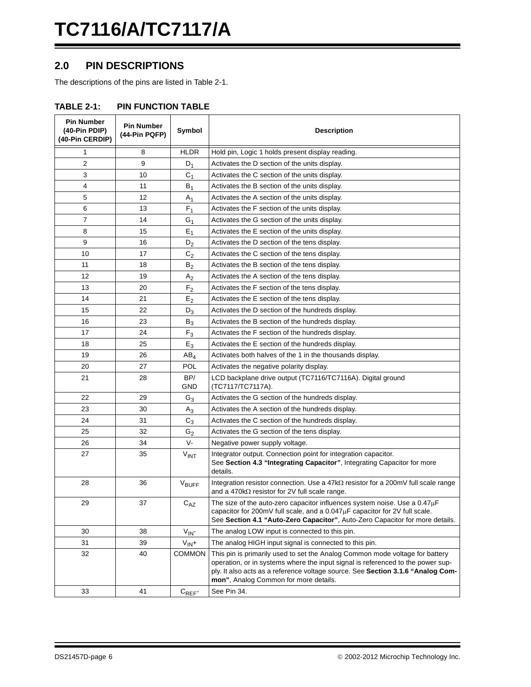# **2.0 PIN DESCRIPTIONS**

The descriptions of the pins are listed in [Table 2-1.](#page-5-0)

## <span id="page-5-0"></span>**TABLE 2-1: PIN FUNCTION TABLE**

| <b>Pin Number</b><br>(40-Pin PDIP)<br>(40-Pin CERDIP) | <b>Pin Number</b><br>(44-Pin PQFP) | Symbol         | <b>Description</b>                                                                                                                                                                                                                                                                          |  |
|-------------------------------------------------------|------------------------------------|----------------|---------------------------------------------------------------------------------------------------------------------------------------------------------------------------------------------------------------------------------------------------------------------------------------------|--|
| 1                                                     | 8                                  | <b>HLDR</b>    | Hold pin, Logic 1 holds present display reading.                                                                                                                                                                                                                                            |  |
| $\overline{2}$                                        | 9                                  | $D_1$          | Activates the D section of the units display.                                                                                                                                                                                                                                               |  |
| 3                                                     | 10                                 | C <sub>1</sub> | Activates the C section of the units display.                                                                                                                                                                                                                                               |  |
| 4                                                     | 11                                 | $B_1$          | Activates the B section of the units display.                                                                                                                                                                                                                                               |  |
| 5                                                     | 12                                 | $A_1$          | Activates the A section of the units display.                                                                                                                                                                                                                                               |  |
| 6                                                     | 13                                 | F <sub>1</sub> | Activates the F section of the units display.                                                                                                                                                                                                                                               |  |
| 7                                                     | 14                                 | $G_1$          | Activates the G section of the units display.                                                                                                                                                                                                                                               |  |
| 8                                                     | 15                                 | $E_1$          | Activates the E section of the units display.                                                                                                                                                                                                                                               |  |
| 9                                                     | 16                                 | $D_2$          | Activates the D section of the tens display.                                                                                                                                                                                                                                                |  |
| 10                                                    | 17                                 | C <sub>2</sub> | Activates the C section of the tens display.                                                                                                                                                                                                                                                |  |
| 11                                                    | 18                                 | B <sub>2</sub> | Activates the B section of the tens display.                                                                                                                                                                                                                                                |  |
| 12                                                    | 19                                 | A <sub>2</sub> | Activates the A section of the tens display.                                                                                                                                                                                                                                                |  |
| 13                                                    | 20                                 | F <sub>2</sub> | Activates the F section of the tens display.                                                                                                                                                                                                                                                |  |
| 14                                                    | 21                                 | E <sub>2</sub> | Activates the E section of the tens display.                                                                                                                                                                                                                                                |  |
| 15                                                    | 22                                 | $D_3$          | Activates the D section of the hundreds display.                                                                                                                                                                                                                                            |  |
| 16                                                    | 23                                 | $B_3$          | Activates the B section of the hundreds display.                                                                                                                                                                                                                                            |  |
| 17                                                    | 24                                 | $F_3$          | Activates the F section of the hundreds display.                                                                                                                                                                                                                                            |  |
| 18                                                    | 25                                 | $E_3$          | Activates the E section of the hundreds display.                                                                                                                                                                                                                                            |  |
| 19                                                    | 26                                 | $AB_4$         | Activates both halves of the 1 in the thousands display.                                                                                                                                                                                                                                    |  |
| 20                                                    | 27                                 | <b>POL</b>     | Activates the negative polarity display.                                                                                                                                                                                                                                                    |  |
| 21                                                    | 28                                 | BP/<br>GND     | LCD backplane drive output (TC7116/TC7116A). Digital ground<br>(TC7117/TC7117A).                                                                                                                                                                                                            |  |
| 22                                                    | 29                                 | $G_3$          | Activates the G section of the hundreds display.                                                                                                                                                                                                                                            |  |
| 23                                                    | 30                                 | $A_3$          | Activates the A section of the hundreds display.                                                                                                                                                                                                                                            |  |
| 24                                                    | 31                                 | $C_3$          | Activates the C section of the hundreds display.                                                                                                                                                                                                                                            |  |
| 25                                                    | 32                                 | G <sub>2</sub> | Activates the G section of the tens display.                                                                                                                                                                                                                                                |  |
| 26                                                    | 34                                 | V-             | Negative power supply voltage.                                                                                                                                                                                                                                                              |  |
| 27                                                    | 35                                 | $V_{INT}$      | Integrator output. Connection point for integration capacitor.<br>See Section 4.3 "Integrating Capacitor", Integrating Capacitor for more<br>details.                                                                                                                                       |  |
| 28                                                    | 36                                 | VBUFF          | Integration resistor connection. Use a $47k\Omega$ resistor for a 200mV full scale range<br>and a 470kQ resistor for 2V full scale range.                                                                                                                                                   |  |
| 29                                                    | 37                                 | $C_{AZ}$       | The size of the auto-zero capacitor influences system noise. Use a $0.47\mu$ F<br>capacitor for 200mV full scale, and a 0.047µF capacitor for 2V full scale.<br>See Section 4.1 "Auto-Zero Capacitor", Auto-Zero Capacitor for more details.                                                |  |
| 30                                                    | 38                                 | $V_{IN}$ -     | The analog LOW input is connected to this pin.                                                                                                                                                                                                                                              |  |
| 31                                                    | 39                                 | $V_{IN}+$      | The analog HIGH input signal is connected to this pin.                                                                                                                                                                                                                                      |  |
| 32                                                    | 40                                 | <b>COMMON</b>  | This pin is primarily used to set the Analog Common mode voltage for battery<br>operation, or in systems where the input signal is referenced to the power sup-<br>ply. It also acts as a reference voltage source. See Section 3.1.6 "Analog Com-<br>mon", Analog Common for more details. |  |
| 33                                                    | 41                                 | $C_{REF}$      | See Pin 34.                                                                                                                                                                                                                                                                                 |  |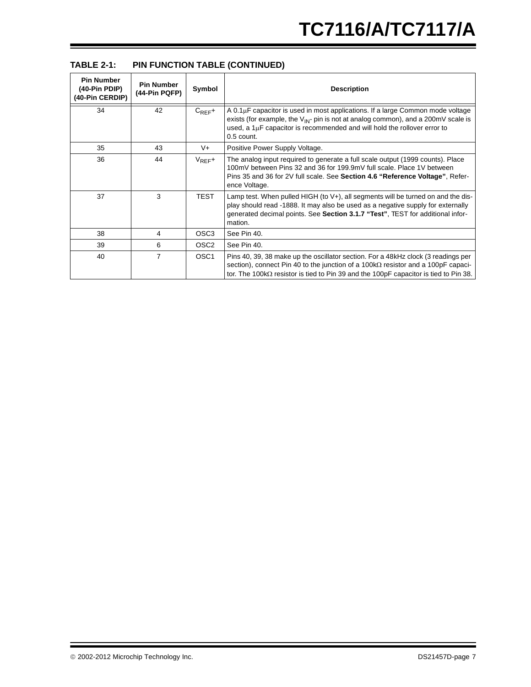| <b>Pin Number</b><br>(40-Pin PDIP)<br>(40-Pin CERDIP) | <b>Pin Number</b><br>(44-Pin PQFP) | Symbol           | <b>Description</b>                                                                                                                                                                                                                                                             |
|-------------------------------------------------------|------------------------------------|------------------|--------------------------------------------------------------------------------------------------------------------------------------------------------------------------------------------------------------------------------------------------------------------------------|
| 34                                                    | 42                                 | $C_{REF}+$       | A 0.1µF capacitor is used in most applications. If a large Common mode voltage<br>exists (for example, the $V_{\text{IN}}$ - pin is not at analog common), and a 200mV scale is<br>used, a 1µF capacitor is recommended and will hold the rollover error to<br>$0.5$ count.    |
| 35                                                    | 43                                 | $V +$            | Positive Power Supply Voltage.                                                                                                                                                                                                                                                 |
| 36                                                    | 44                                 | $V_{REF}+$       | The analog input required to generate a full scale output (1999 counts). Place<br>100mV between Pins 32 and 36 for 199.9mV full scale. Place 1V between<br>Pins 35 and 36 for 2V full scale. See Section 4.6 "Reference Voltage", Refer-<br>ence Voltage.                      |
| 37                                                    | 3                                  | <b>TEST</b>      | Lamp test. When pulled HIGH (to $V +$ ), all segments will be turned on and the dis-<br>play should read -1888. It may also be used as a negative supply for externally<br>generated decimal points. See Section 3.1.7 "Test", TEST for additional infor-<br>mation.           |
| 38                                                    | 4                                  | OSC <sub>3</sub> | See Pin 40.                                                                                                                                                                                                                                                                    |
| 39                                                    | 6                                  | OSC <sub>2</sub> | See Pin 40.                                                                                                                                                                                                                                                                    |
| 40                                                    | 7                                  | OSC <sub>1</sub> | Pins 40, 39, 38 make up the oscillator section. For a 48 kHz clock (3 readings per<br>section), connect Pin 40 to the junction of a 100 $k\Omega$ resistor and a 100pF capaci-<br>tor. The 100k $\Omega$ resistor is tied to Pin 39 and the 100pF capacitor is tied to Pin 38. |

| <b>TABLE 2-1:</b> | <b>PIN FUNCTION TABLE (CONTINUED)</b> |
|-------------------|---------------------------------------|
|-------------------|---------------------------------------|

Ξ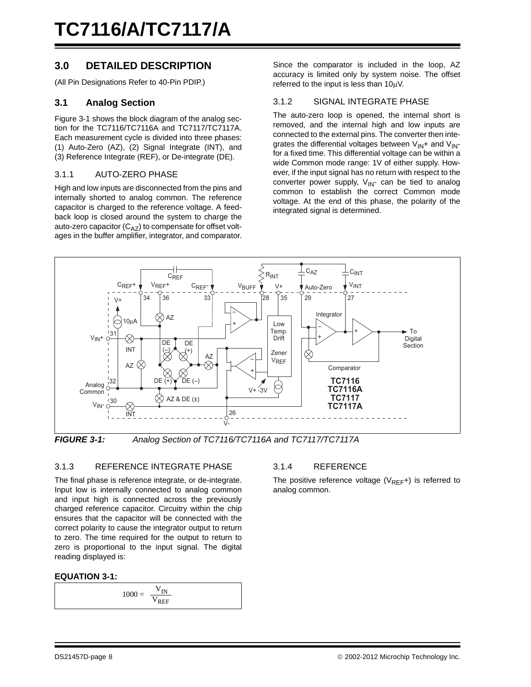# **3.0 DETAILED DESCRIPTION**

(All Pin Designations Refer to 40-Pin PDIP.)

## **3.1 Analog Section**

[Figure 3-1](#page-7-0) shows the block diagram of the analog section for the TC7116/TC7116A and TC7117/TC7117A. Each measurement cycle is divided into three phases: (1) Auto-Zero (AZ), (2) Signal Integrate (INT), and (3) Reference Integrate (REF), or De-integrate (DE).

#### 3.1.1 AUTO-ZERO PHASE

High and low inputs are disconnected from the pins and internally shorted to analog common. The reference capacitor is charged to the reference voltage. A feedback loop is closed around the system to charge the auto-zero capacitor  $(C_{A}Z)$  to compensate for offset voltages in the buffer amplifier, integrator, and comparator.

Since the comparator is included in the loop, AZ accuracy is limited only by system noise. The offset referred to the input is less than  $10\mu$ V.

#### 3.1.2 SIGNAL INTEGRATE PHASE

The auto-zero loop is opened, the internal short is removed, and the internal high and low inputs are connected to the external pins. The converter then integrates the differential voltages between  $V_{IN}$ + and  $V_{IN}$ for a fixed time. This differential voltage can be within a wide Common mode range: 1V of either supply. However, if the input signal has no return with respect to the converter power supply,  $V_{IN}$ - can be tied to analog common to establish the correct Common mode voltage. At the end of this phase, the polarity of the integrated signal is determined.



<span id="page-7-0"></span>*FIGURE 3-1: Analog Section of TC7116/TC7116A and TC7117/TC7117A*

#### 3.1.3 REFERENCE INTEGRATE PHASE

The final phase is reference integrate, or de-integrate. Input low is internally connected to analog common and input high is connected across the previously charged reference capacitor. Circuitry within the chip ensures that the capacitor will be connected with the correct polarity to cause the integrator output to return to zero. The time required for the output to return to zero is proportional to the input signal. The digital reading displayed is:

**EQUATION 3-1:**

$$
1000 = \frac{V_{IN}}{V_{REF}}
$$

### 3.1.4 REFERENCE

The positive reference voltage ( $V_{RFF}$ +) is referred to analog common.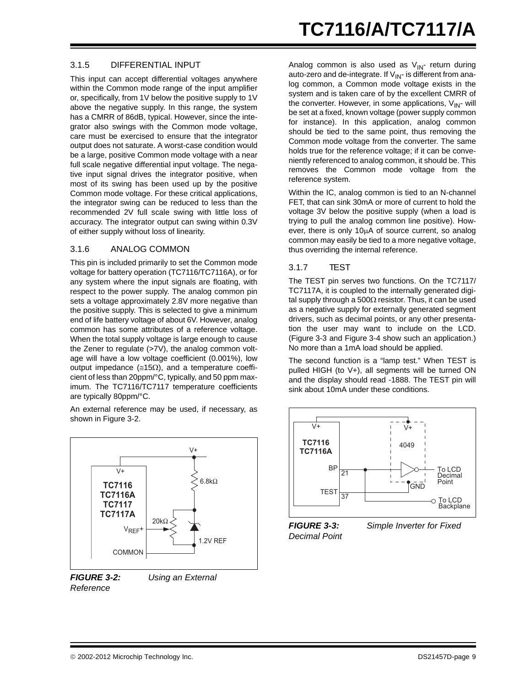### 3.1.5 DIFFERENTIAL INPUT

This input can accept differential voltages anywhere within the Common mode range of the input amplifier or, specifically, from 1V below the positive supply to 1V above the negative supply. In this range, the system has a CMRR of 86dB, typical. However, since the integrator also swings with the Common mode voltage, care must be exercised to ensure that the integrator output does not saturate. A worst-case condition would be a large, positive Common mode voltage with a near full scale negative differential input voltage. The negative input signal drives the integrator positive, when most of its swing has been used up by the positive Common mode voltage. For these critical applications, the integrator swing can be reduced to less than the recommended 2V full scale swing with little loss of accuracy. The integrator output can swing within 0.3V of either supply without loss of linearity.

#### <span id="page-8-0"></span>3.1.6 ANALOG COMMON

This pin is included primarily to set the Common mode voltage for battery operation (TC7116/TC7116A), or for any system where the input signals are floating, with respect to the power supply. The analog common pin sets a voltage approximately 2.8V more negative than the positive supply. This is selected to give a minimum end of life battery voltage of about 6V. However, analog common has some attributes of a reference voltage. When the total supply voltage is large enough to cause the Zener to regulate (>7V), the analog common voltage will have a low voltage coefficient (0.001%), low output impedance ( $\leq$ 15 $\Omega$ ), and a temperature coefficient of less than 20ppm/°C, typically, and 50 ppm maximum. The TC7116/TC7117 temperature coefficients are typically 80ppm/°C.

An external reference may be used, if necessary, as shown in [Figure 3-2.](#page-8-2)



*Reference*

<span id="page-8-2"></span>*FIGURE 3-2: Using an External* 

Analog common is also used as  $V_{IN}$ - return during auto-zero and de-integrate. If  $V_{\text{IN}}$ - is different from analog common, a Common mode voltage exists in the system and is taken care of by the excellent CMRR of the converter. However, in some applications,  $V_{IN}$ - will be set at a fixed, known voltage (power supply common for instance). In this application, analog common should be tied to the same point, thus removing the Common mode voltage from the converter. The same holds true for the reference voltage; if it can be conveniently referenced to analog common, it should be. This removes the Common mode voltage from the reference system.

Within the IC, analog common is tied to an N-channel FET, that can sink 30mA or more of current to hold the voltage 3V below the positive supply (when a load is trying to pull the analog common line positive). However, there is only  $10\mu A$  of source current, so analog common may easily be tied to a more negative voltage, thus overriding the internal reference.

#### <span id="page-8-1"></span>3.1.7 TEST

The TEST pin serves two functions. On the TC7117/ TC7117A, it is coupled to the internally generated digital supply through a 500 $\Omega$  resistor. Thus, it can be used as a negative supply for externally generated segment drivers, such as decimal points, or any other presentation the user may want to include on the LCD. ([Figure 3-3](#page-8-3) and [Figure 3-4](#page-9-0) show such an application.) No more than a 1mA load should be applied.

The second function is a "lamp test." When TEST is pulled HIGH (to V+), all segments will be turned ON and the display should read -1888. The TEST pin will sink about 10mA under these conditions.



<span id="page-8-3"></span>*FIGURE 3-3: Simple Inverter for Fixed Decimal Point*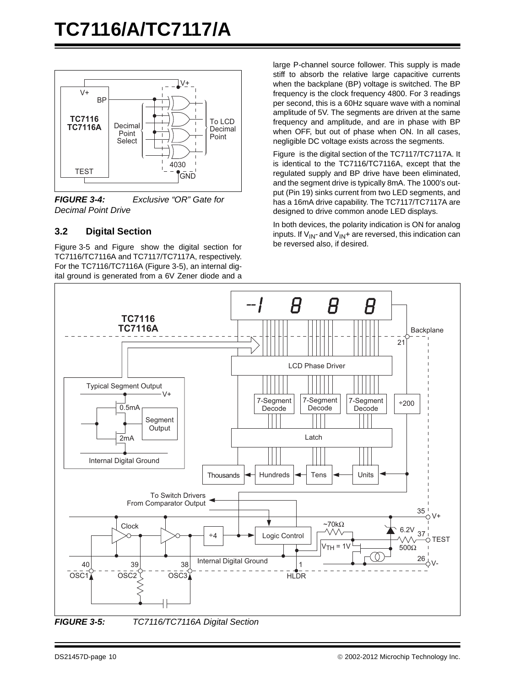

<span id="page-9-0"></span>*FIGURE 3-4: Exclusive "OR" Gate for Decimal Point Drive*

# **3.2 Digital Section**

[Figure 3-5](#page-9-1) and [Figure](#page-10-0) show the digital section for TC7116/TC7116A and TC7117/TC7117A, respectively. For the TC7116/TC7116A ([Figure 3-5\)](#page-9-1), an internal digital ground is generated from a 6V Zener diode and a

large P-channel source follower. This supply is made stiff to absorb the relative large capacitive currents when the backplane (BP) voltage is switched. The BP frequency is the clock frequency 4800. For 3 readings per second, this is a 60Hz square wave with a nominal amplitude of 5V. The segments are driven at the same frequency and amplitude, and are in phase with BP when OFF, but out of phase when ON. In all cases, negligible DC voltage exists across the segments.

[Figure](#page-10-0) is the digital section of the TC7117/TC7117A. It is identical to the TC7116/TC7116A, except that the regulated supply and BP drive have been eliminated, and the segment drive is typically 8mA. The 1000's output (Pin 19) sinks current from two LED segments, and has a 16mA drive capability. The TC7117/TC7117A are designed to drive common anode LED displays.

In both devices, the polarity indication is ON for analog inputs. If  $V_{\text{IN}}$ - and  $V_{\text{IN}}$ + are reversed, this indication can be reversed also, if desired.



<span id="page-9-1"></span>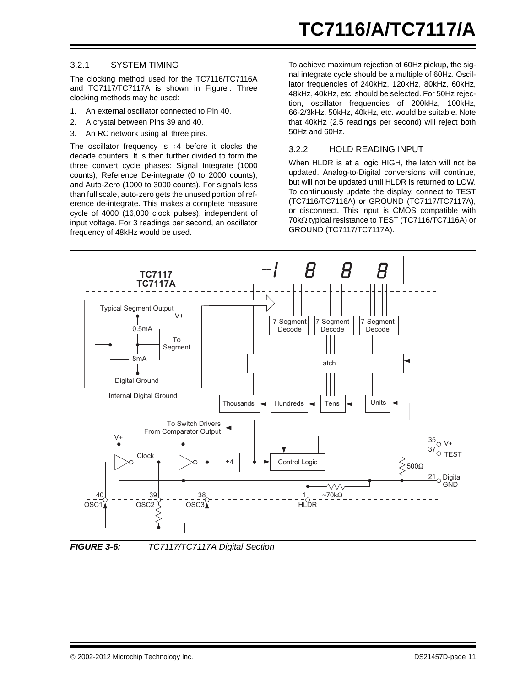#### 3.2.1 SYSTEM TIMING

The clocking method used for the TC7116/TC7116A and TC7117/TC7117A is shown in [Figure .](#page-10-0) Three clocking methods may be used:

- 1. An external oscillator connected to Pin 40.
- 2. A crystal between Pins 39 and 40.
- 3. An RC network using all three pins.

The oscillator frequency is  $\div 4$  before it clocks the decade counters. It is then further divided to form the three convert cycle phases: Signal Integrate (1000 counts), Reference De-integrate (0 to 2000 counts), and Auto-Zero (1000 to 3000 counts). For signals less than full scale, auto-zero gets the unused portion of reference de-integrate. This makes a complete measure cycle of 4000 (16,000 clock pulses), independent of input voltage. For 3 readings per second, an oscillator frequency of 48kHz would be used.

To achieve maximum rejection of 60Hz pickup, the signal integrate cycle should be a multiple of 60Hz. Oscillator frequencies of 240kHz, 120kHz, 80kHz, 60kHz, 48kHz, 40kHz, etc. should be selected. For 50Hz rejection, oscillator frequencies of 200kHz, 100kHz, 66-2/3kHz, 50kHz, 40kHz, etc. would be suitable. Note that 40kHz (2.5 readings per second) will reject both 50Hz and 60Hz.

#### 3.2.2 HOLD READING INPUT

<span id="page-10-0"></span>When HLDR is at a logic HIGH, the latch will not be updated. Analog-to-Digital conversions will continue, but will not be updated until HLDR is returned to LOW. To continuously update the display, connect to TEST (TC7116/TC7116A) or GROUND (TC7117/TC7117A), or disconnect. This input is CMOS compatible with 70kΩ typical resistance to TEST (TC7116/TC7116A) or GROUND (TC7117/TC7117A).





*FIGURE 3-6: TC7117/TC7117A Digital Section*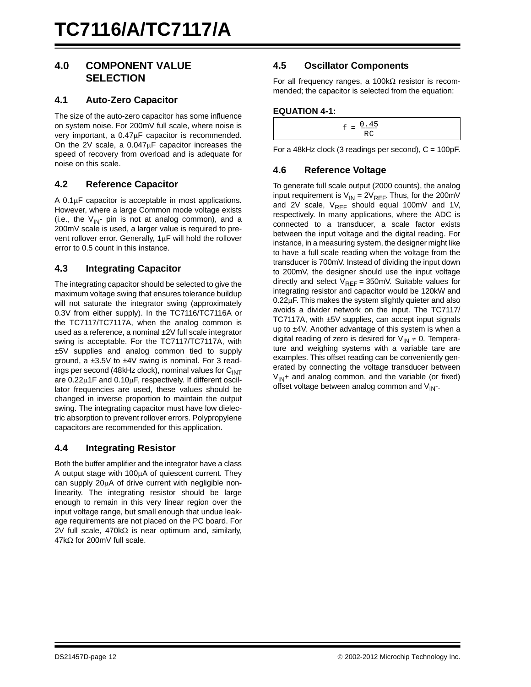## **4.0 COMPONENT VALUE SELECTION**

#### <span id="page-11-1"></span>**4.1 Auto-Zero Capacitor**

The size of the auto-zero capacitor has some influence on system noise. For 200mV full scale, where noise is very important, a  $0.47\mu$ F capacitor is recommended. On the 2V scale, a  $0.047\mu$ F capacitor increases the speed of recovery from overload and is adequate for noise on this scale.

### **4.2 Reference Capacitor**

A  $0.1\mu$ F capacitor is acceptable in most applications. However, where a large Common mode voltage exists (i.e., the  $V_{IN}$ - pin is not at analog common), and a 200mV scale is used, a larger value is required to prevent rollover error. Generally,  $1\mu F$  will hold the rollover error to 0.5 count in this instance.

### <span id="page-11-0"></span>**4.3 Integrating Capacitor**

The integrating capacitor should be selected to give the maximum voltage swing that ensures tolerance buildup will not saturate the integrator swing (approximately 0.3V from either supply). In the TC7116/TC7116A or the TC7117/TC7117A, when the analog common is used as a reference, a nominal ±2V full scale integrator swing is acceptable. For the TC7117/TC7117A, with ±5V supplies and analog common tied to supply ground, a  $\pm 3.5V$  to  $\pm 4V$  swing is nominal. For 3 readings per second (48kHz clock), nominal values for  $C<sub>INT</sub>$ are  $0.22\mu$ 1F and  $0.10\mu$ F, respectively. If different oscillator frequencies are used, these values should be changed in inverse proportion to maintain the output swing. The integrating capacitor must have low dielectric absorption to prevent rollover errors. Polypropylene capacitors are recommended for this application.

### **4.4 Integrating Resistor**

Both the buffer amplifier and the integrator have a class A output stage with  $100\mu A$  of quiescent current. They can supply 20µA of drive current with negligible nonlinearity. The integrating resistor should be large enough to remain in this very linear region over the input voltage range, but small enough that undue leakage requirements are not placed on the PC board. For 2V full scale,  $470k\Omega$  is near optimum and, similarly,  $47k\Omega$  for 200mV full scale.

# **4.5 Oscillator Components**

For all frequency ranges, a 100 $k\Omega$  resistor is recommended; the capacitor is selected from the equation:

#### **EQUATION 4-1:**

| 45 |
|----|
|    |

For a 48kHz clock (3 readings per second),  $C = 100pF$ .

#### <span id="page-11-2"></span>**4.6 Reference Voltage**

To generate full scale output (2000 counts), the analog input requirement is  $V_{IN} = 2V_{REF}$ . Thus, for the 200mV and 2V scale,  $V_{REF}$  should equal 100mV and 1V, respectively. In many applications, where the ADC is connected to a transducer, a scale factor exists between the input voltage and the digital reading. For instance, in a measuring system, the designer might like to have a full scale reading when the voltage from the transducer is 700mV. Instead of dividing the input down to 200mV, the designer should use the input voltage directly and select  $V_{REF} = 350$ mV. Suitable values for integrating resistor and capacitor would be 120kW and  $0.22\mu$ F. This makes the system slightly quieter and also avoids a divider network on the input. The TC7117/ TC7117A, with ±5V supplies, can accept input signals up to ±4V. Another advantage of this system is when a digital reading of zero is desired for  $V_{IN} \neq 0$ . Temperature and weighing systems with a variable tare are examples. This offset reading can be conveniently generated by connecting the voltage transducer between  $V_{1N}$ + and analog common, and the variable (or fixed) offset voltage between analog common and  $V_{IN}$ .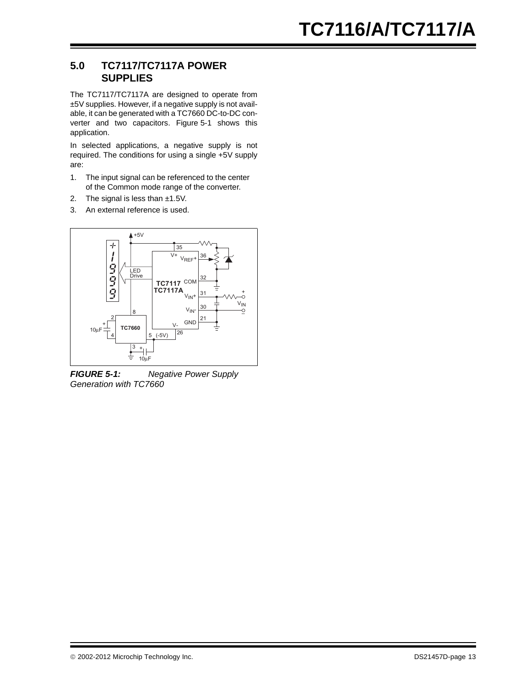# **5.0 TC7117/TC7117A POWER SUPPLIES**

The TC7117/TC7117A are designed to operate from ±5V supplies. However, if a negative supply is not available, it can be generated with a TC7660 DC-to-DC converter and two capacitors. [Figure 5-1](#page-12-0) shows this application.

In selected applications, a negative supply is not required. The conditions for using a single +5V supply are:

- 1. The input signal can be referenced to the center of the Common mode range of the converter.
- 2. The signal is less than ±1.5V.
- 3. An external reference is used.



<span id="page-12-0"></span>*FIGURE 5-1: Negative Power Supply Generation with TC7660*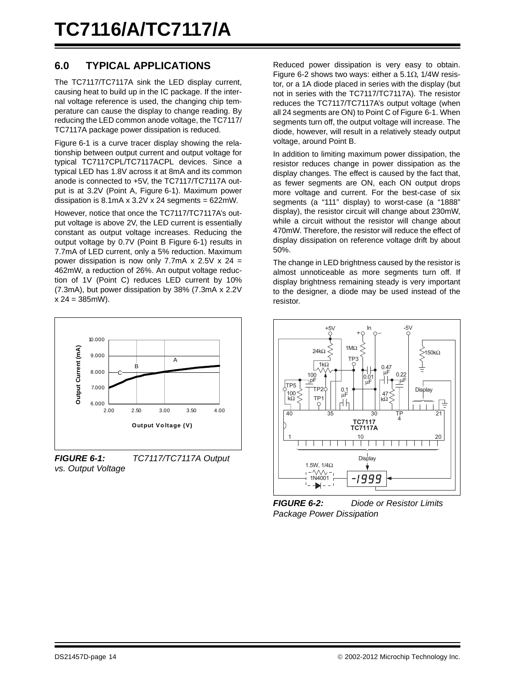# **6.0 TYPICAL APPLICATIONS**

The TC7117/TC7117A sink the LED display current, causing heat to build up in the IC package. If the internal voltage reference is used, the changing chip temperature can cause the display to change reading. By reducing the LED common anode voltage, the TC7117/ TC7117A package power dissipation is reduced.

[Figure 6-1](#page-13-0) is a curve tracer display showing the relationship between output current and output voltage for typical TC7117CPL/TC7117ACPL devices. Since a typical LED has 1.8V across it at 8mA and its common anode is connected to +5V, the TC7117/TC7117A output is at 3.2V (Point A, [Figure 6-1\)](#page-13-0). Maximum power dissipation is  $8.1 \text{mA} \times 3.2 \text{V} \times 24$  segments = 622mW.

However, notice that once the TC7117/TC7117A's output voltage is above 2V, the LED current is essentially constant as output voltage increases. Reducing the output voltage by 0.7V (Point B [Figure 6-1\)](#page-13-0) results in 7.7mA of LED current, only a 5% reduction. Maximum power dissipation is now only 7.7mA  $\times$  2.5V  $\times$  24 = 462mW, a reduction of 26%. An output voltage reduction of 1V (Point C) reduces LED current by 10% (7.3mA), but power dissipation by 38% (7.3mA x 2.2V  $x 24 = 385$ mW).



<span id="page-13-0"></span>*FIGURE 6-1: TC7117/TC7117A Output vs. Output Voltage*

Reduced power dissipation is very easy to obtain. [Figure 6-2](#page-13-1) shows two ways: either a 5.1 $\Omega$ , 1/4W resistor, or a 1A diode placed in series with the display (but not in series with the TC7117/TC7117A). The resistor reduces the TC7117/TC7117A's output voltage (when all 24 segments are ON) to Point C of [Figure 6-1](#page-13-0). When segments turn off, the output voltage will increase. The diode, however, will result in a relatively steady output voltage, around Point B.

In addition to limiting maximum power dissipation, the resistor reduces change in power dissipation as the display changes. The effect is caused by the fact that, as fewer segments are ON, each ON output drops more voltage and current. For the best-case of six segments (a "111" display) to worst-case (a "1888" display), the resistor circuit will change about 230mW, while a circuit without the resistor will change about 470mW. Therefore, the resistor will reduce the effect of display dissipation on reference voltage drift by about 50%.

The change in LED brightness caused by the resistor is almost unnoticeable as more segments turn off. If display brightness remaining steady is very important to the designer, a diode may be used instead of the resistor.



<span id="page-13-1"></span>*FIGURE 6-2: Diode or Resistor Limits Package Power Dissipation*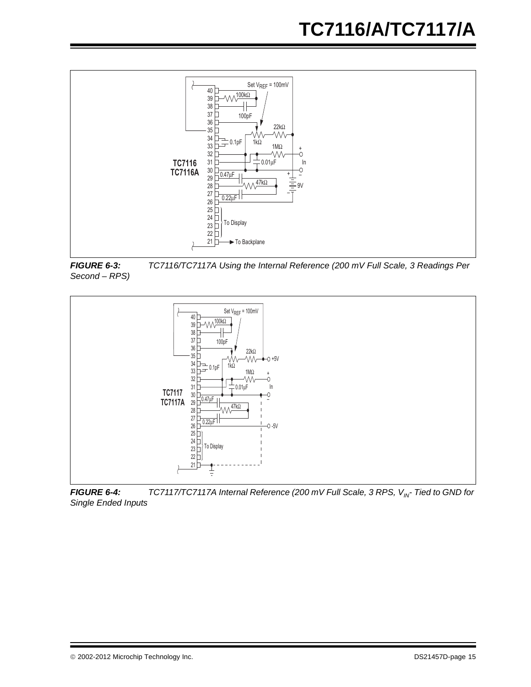

*FIGURE 6-3: TC7116/TC7117A Using the Internal Reference (200 mV Full Scale, 3 Readings Per Second – RPS)*



**FIGURE 6-4:** *TC7117/TC7117A Internal Reference (200 mV Full Scale, 3 RPS, V<sub>IN</sub>-Tied to GND for Single Ended Inputs*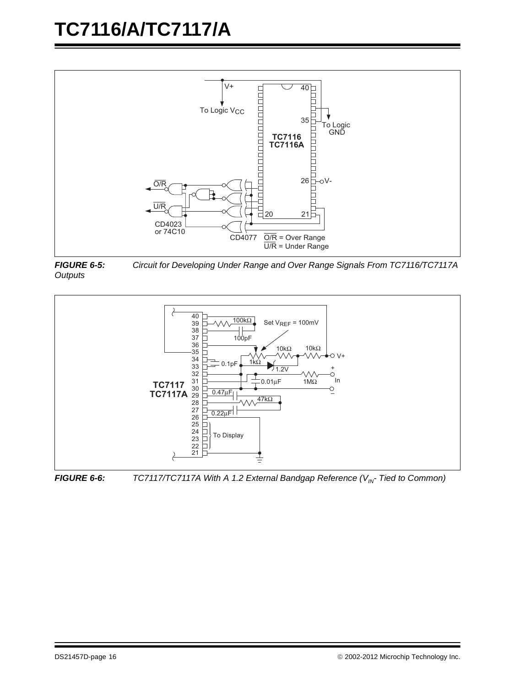

*FIGURE 6-5: Circuit for Developing Under Range and Over Range Signals From TC7116/TC7117A Outputs*



**FIGURE 6-6:** *TC7117/TC7117A With A 1.2 External Bandgap Reference (V<sub>IN</sub>-Tied to Common)*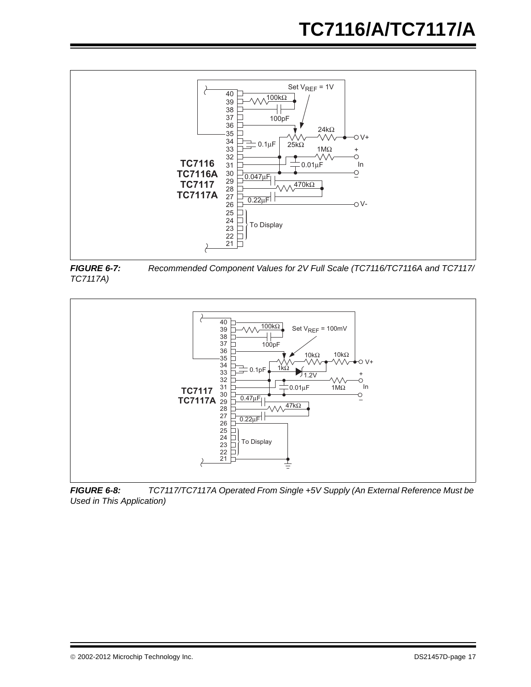

*FIGURE 6-7: Recommended Component Values for 2V Full Scale (TC7116/TC7116A and TC7117/ TC7117A)*



*FIGURE 6-8: TC7117/TC7117A Operated From Single +5V Supply (An External Reference Must be Used in This Application)*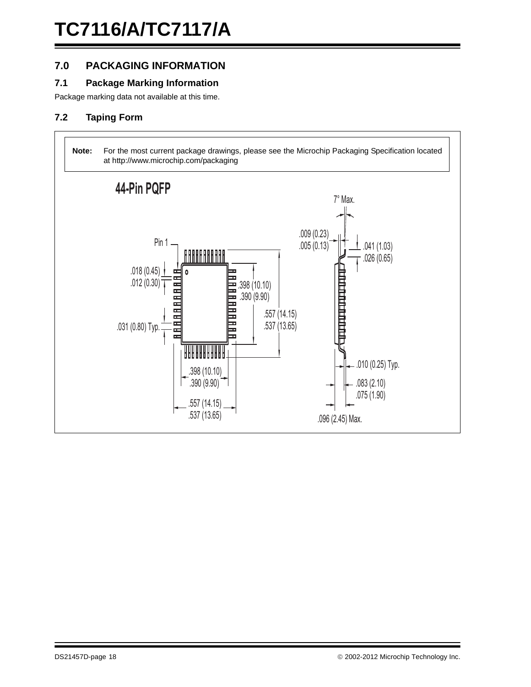# **7.0 PACKAGING INFORMATION**

# **7.1 Package Marking Information**

Package marking data not available at this time.

### **7.2 Taping Form**

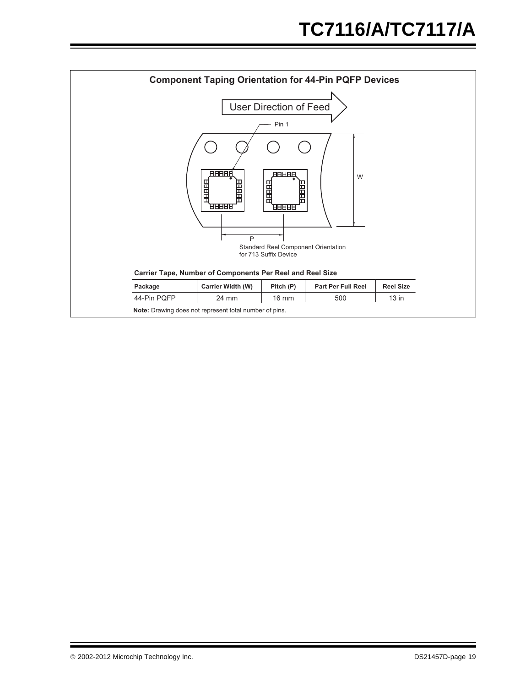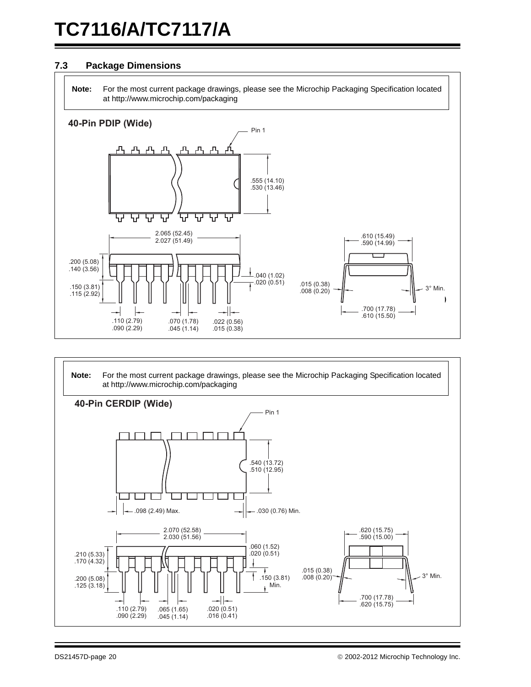#### **7.3 Package Dimensions**

**Note:** For the most current package drawings, please see the Microchip Packaging Specification located at http://www.microchip.com/packaging



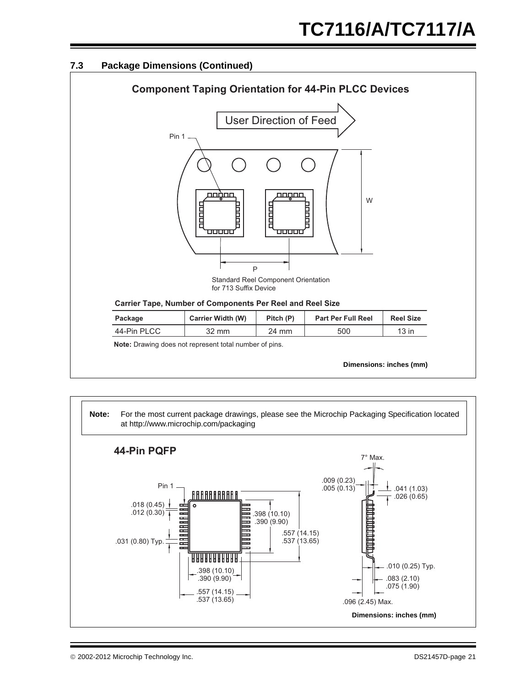#### **7.3 Package Dimensions (Continued)**



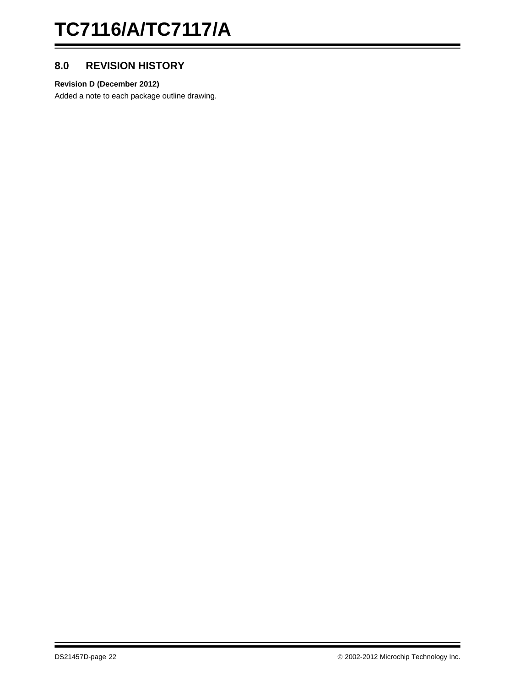# **8.0 REVISION HISTORY**

#### **Revision D (December 2012)**

Added a note to each package outline drawing.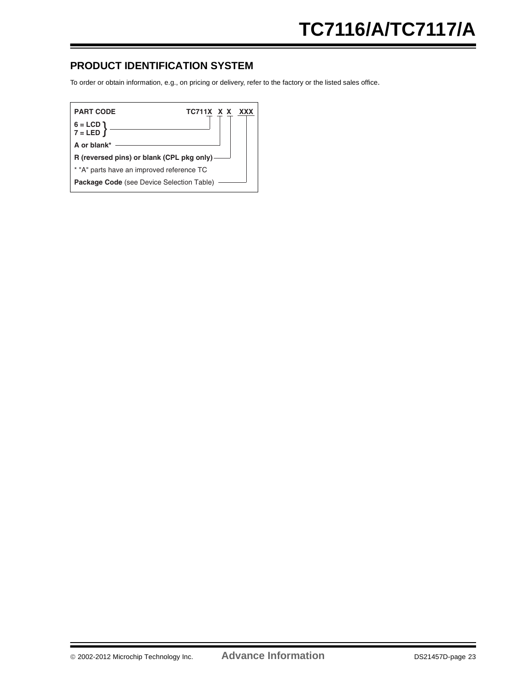# **PRODUCT IDENTIFICATION SYSTEM**

To order or obtain information, e.g., on pricing or delivery, refer to the factory or the listed sales office.

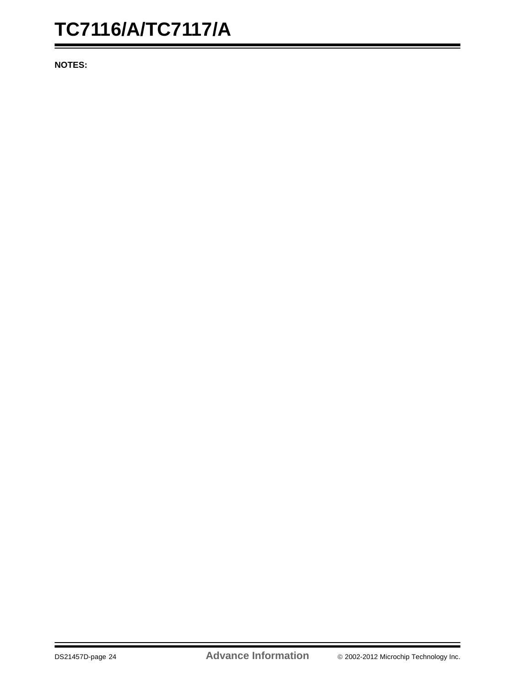# **TC7116/A/TC7117/A**

**NOTES:**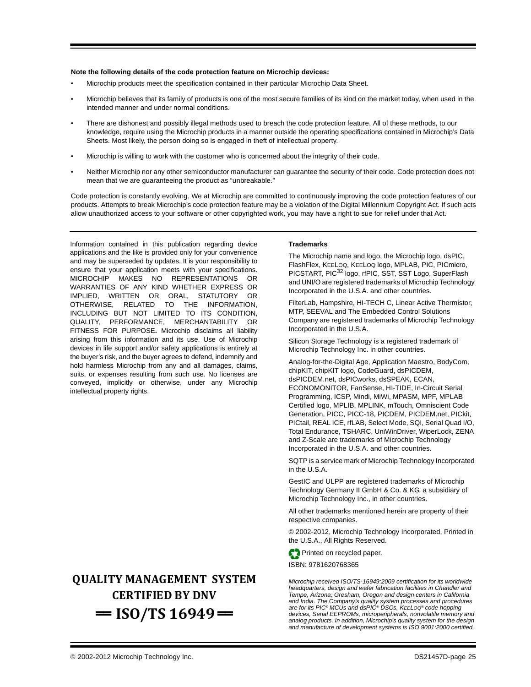#### **Note the following details of the code protection feature on Microchip devices:**

- Microchip products meet the specification contained in their particular Microchip Data Sheet.
- Microchip believes that its family of products is one of the most secure families of its kind on the market today, when used in the intended manner and under normal conditions.
- There are dishonest and possibly illegal methods used to breach the code protection feature. All of these methods, to our knowledge, require using the Microchip products in a manner outside the operating specifications contained in Microchip's Data Sheets. Most likely, the person doing so is engaged in theft of intellectual property.
- Microchip is willing to work with the customer who is concerned about the integrity of their code.
- Neither Microchip nor any other semiconductor manufacturer can guarantee the security of their code. Code protection does not mean that we are guaranteeing the product as "unbreakable."

Code protection is constantly evolving. We at Microchip are committed to continuously improving the code protection features of our products. Attempts to break Microchip's code protection feature may be a violation of the Digital Millennium Copyright Act. If such acts allow unauthorized access to your software or other copyrighted work, you may have a right to sue for relief under that Act.

Information contained in this publication regarding device applications and the like is provided only for your convenience and may be superseded by updates. It is your responsibility to ensure that your application meets with your specifications. MICROCHIP MAKES NO REPRESENTATIONS OR WARRANTIES OF ANY KIND WHETHER EXPRESS OR IMPLIED, WRITTEN OR ORAL, STATUTORY OR OTHERWISE, RELATED TO THE INFORMATION, INCLUDING BUT NOT LIMITED TO ITS CONDITION, QUALITY, PERFORMANCE, MERCHANTABILITY OR FITNESS FOR PURPOSE**.** Microchip disclaims all liability arising from this information and its use. Use of Microchip devices in life support and/or safety applications is entirely at the buyer's risk, and the buyer agrees to defend, indemnify and hold harmless Microchip from any and all damages, claims, suits, or expenses resulting from such use. No licenses are conveyed, implicitly or otherwise, under any Microchip intellectual property rights.

# **QUALITY MANAGEMENT SYSTEM CERTIFIED BY DNV**   $=$  **ISO/TS 16949** $=$

#### **Trademarks**

The Microchip name and logo, the Microchip logo, dsPIC, FlashFlex, KEELOQ, KEELOQ logo, MPLAB, PIC, PICmicro, PICSTART, PIC<sup>32</sup> logo, rfPIC, SST, SST Logo, SuperFlash and UNI/O are registered trademarks of Microchip Technology Incorporated in the U.S.A. and other countries.

FilterLab, Hampshire, HI-TECH C, Linear Active Thermistor, MTP, SEEVAL and The Embedded Control Solutions Company are registered trademarks of Microchip Technology Incorporated in the U.S.A.

Silicon Storage Technology is a registered trademark of Microchip Technology Inc. in other countries.

Analog-for-the-Digital Age, Application Maestro, BodyCom, chipKIT, chipKIT logo, CodeGuard, dsPICDEM, dsPICDEM.net, dsPICworks, dsSPEAK, ECAN, ECONOMONITOR, FanSense, HI-TIDE, In-Circuit Serial Programming, ICSP, Mindi, MiWi, MPASM, MPF, MPLAB Certified logo, MPLIB, MPLINK, mTouch, Omniscient Code Generation, PICC, PICC-18, PICDEM, PICDEM.net, PICkit, PICtail, REAL ICE, rfLAB, Select Mode, SQI, Serial Quad I/O, Total Endurance, TSHARC, UniWinDriver, WiperLock, ZENA and Z-Scale are trademarks of Microchip Technology Incorporated in the U.S.A. and other countries.

SQTP is a service mark of Microchip Technology Incorporated in the U.S.A.

GestIC and ULPP are registered trademarks of Microchip Technology Germany II GmbH & Co. & KG, a subsidiary of Microchip Technology Inc., in other countries.

All other trademarks mentioned herein are property of their respective companies.

© 2002-2012, Microchip Technology Incorporated, Printed in the U.S.A., All Rights Reserved.

Printed on recycled paper.

ISBN: 9781620768365

*Microchip received ISO/TS-16949:2009 certification for its worldwide headquarters, design and wafer fabrication facilities in Chandler and Tempe, Arizona; Gresham, Oregon and design centers in California and India. The Company's quality system processes and procedures are for its PIC® MCUs and dsPIC® DSCs, KEELOQ® code hopping devices, Serial EEPROMs, microperipherals, nonvolatile memory and analog products. In addition, Microchip's quality system for the design and manufacture of development systems is ISO 9001:2000 certified.*